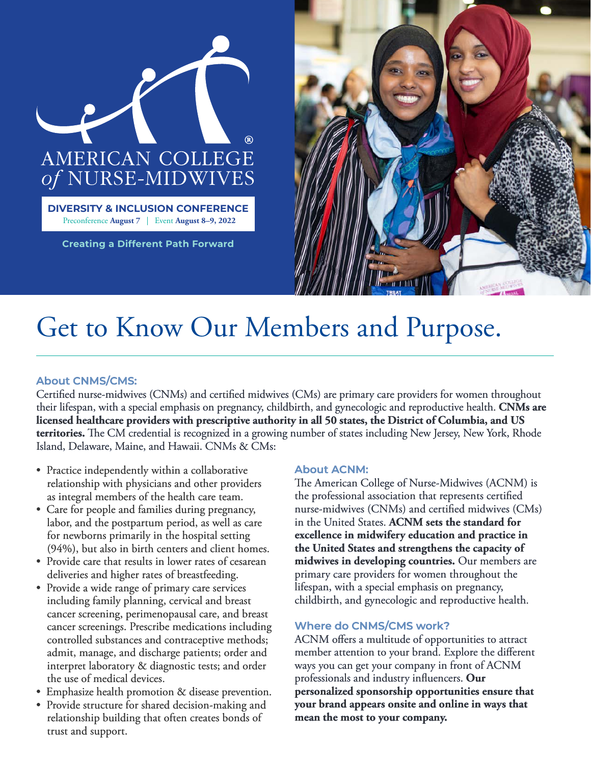



## Get to Know Our Members and Purpose.

## **About CNMS/CMS:**

Certified nurse-midwives (CNMs) and certified midwives (CMs) are primary care providers for women throughout their lifespan, with a special emphasis on pregnancy, childbirth, and gynecologic and reproductive health. **CNMs are licensed healthcare providers with prescriptive authority in all 50 states, the District of Columbia, and US territories.** The CM credential is recognized in a growing number of states including New Jersey, New York, Rhode Island, Delaware, Maine, and Hawaii. CNMs & CMs:

- Practice independently within a collaborative relationship with physicians and other providers as integral members of the health care team.
- Care for people and families during pregnancy, labor, and the postpartum period, as well as care for newborns primarily in the hospital setting (94%), but also in birth centers and client homes.
- Provide care that results in lower rates of cesarean deliveries and higher rates of breastfeeding.
- Provide a wide range of primary care services including family planning, cervical and breast cancer screening, perimenopausal care, and breast cancer screenings. Prescribe medications including controlled substances and contraceptive methods; admit, manage, and discharge patients; order and interpret laboratory & diagnostic tests; and order the use of medical devices.
- Emphasize health promotion & disease prevention.
- Provide structure for shared decision-making and relationship building that often creates bonds of trust and support.

## **About ACNM:**

The American College of Nurse-Midwives (ACNM) is the professional association that represents certified nurse-midwives (CNMs) and certified midwives (CMs) in the United States. **ACNM sets the standard for excellence in midwifery education and practice in the United States and strengthens the capacity of midwives in developing countries.** Our members are primary care providers for women throughout the lifespan, with a special emphasis on pregnancy, childbirth, and gynecologic and reproductive health.

## **Where do CNMS/CMS work?**

ACNM offers a multitude of opportunities to attract member attention to your brand. Explore the different ways you can get your company in front of ACNM professionals and industry influencers. Our **personalized sponsorship opportunities ensure that your brand appears onsite and online in ways that mean the most to your company.**